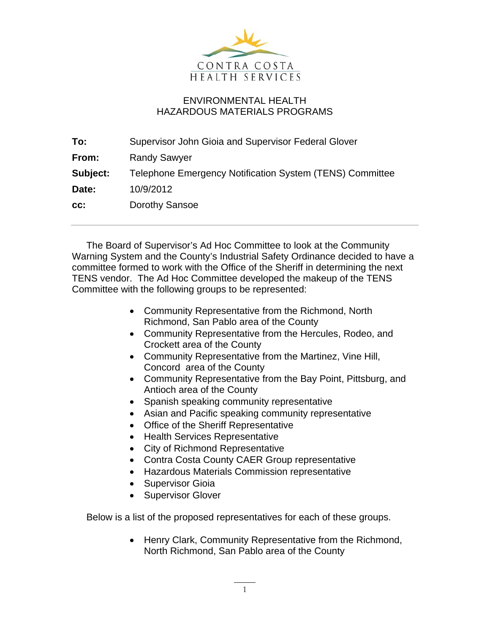

## ENVIRONMENTAL HEALTH HAZARDOUS MATERIALS PROGRAMS

| Supervisor John Gioia and Supervisor Federal Glover      |
|----------------------------------------------------------|
| <b>Randy Sawyer</b>                                      |
| Telephone Emergency Notification System (TENS) Committee |
| 10/9/2012                                                |
| Dorothy Sansoe                                           |
|                                                          |

The Board of Supervisor's Ad Hoc Committee to look at the Community Warning System and the County's Industrial Safety Ordinance decided to have a committee formed to work with the Office of the Sheriff in determining the next TENS vendor. The Ad Hoc Committee developed the makeup of the TENS Committee with the following groups to be represented:

- Community Representative from the Richmond, North Richmond, San Pablo area of the County
- Community Representative from the Hercules, Rodeo, and Crockett area of the County
- Community Representative from the Martinez, Vine Hill, Concord area of the County
- Community Representative from the Bay Point, Pittsburg, and Antioch area of the County
- Spanish speaking community representative
- Asian and Pacific speaking community representative
- Office of the Sheriff Representative
- Health Services Representative
- City of Richmond Representative
- Contra Costa County CAER Group representative
- Hazardous Materials Commission representative
- Supervisor Gioia
- Supervisor Glover

Below is a list of the proposed representatives for each of these groups.

• Henry Clark, Community Representative from the Richmond, North Richmond, San Pablo area of the County